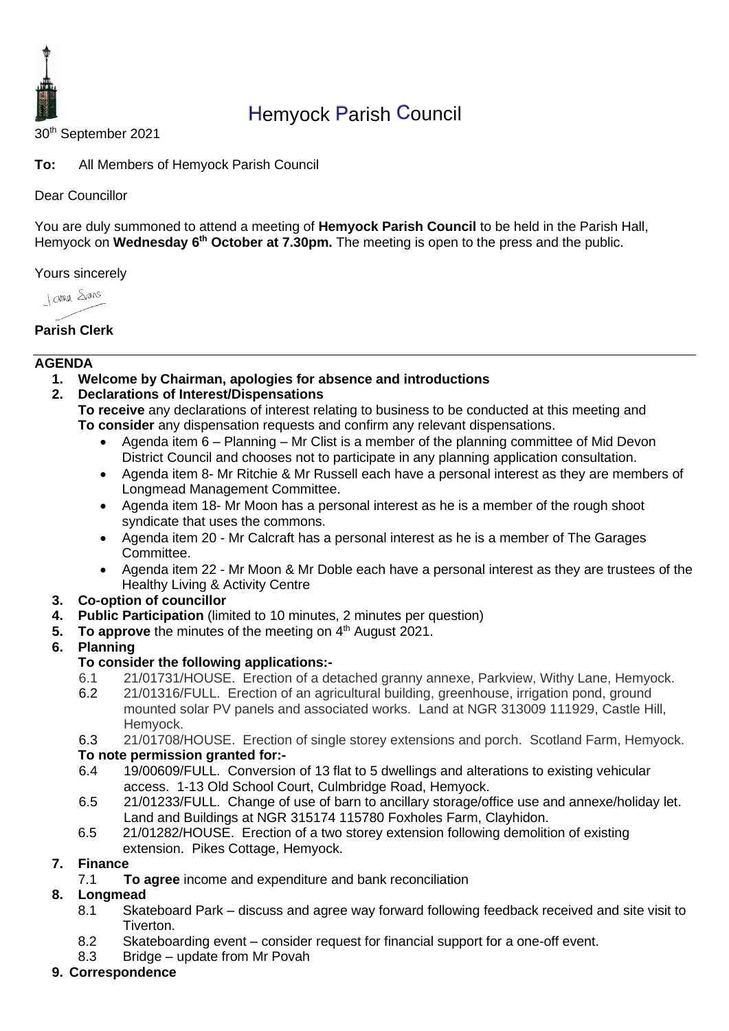

# Hemyock Parish Council

30th September 2021

**To:** All Members of Hemyock Parish Council

### Dear Councillor

You are duly summoned to attend a meeting of **Hemyock Parish Council** to be held in the Parish Hall, Hemyock on Wednesday 6<sup>th</sup> October at 7.30pm. The meeting is open to the press and the public.

Yours sincerely

**James** Spans

**Parish Clerk**

## **AGENDA**

- **1. Welcome by Chairman, apologies for absence and introductions**
- **2. Declarations of Interest/Dispensations**

**To receive** any declarations of interest relating to business to be conducted at this meeting and **To consider** any dispensation requests and confirm any relevant dispensations.

- Agenda item 6 Planning Mr Clist is a member of the planning committee of Mid Devon District Council and chooses not to participate in any planning application consultation.
- Agenda item 8- Mr Ritchie & Mr Russell each have a personal interest as they are members of Longmead Management Committee.
- Agenda item 18- Mr Moon has a personal interest as he is a member of the rough shoot syndicate that uses the commons.
- Agenda item 20 Mr Calcraft has a personal interest as he is a member of The Garages Committee.
- Agenda item 22 Mr Moon & Mr Doble each have a personal interest as they are trustees of the Healthy Living & Activity Centre
- **3. Co-option of councillor**
- **4. Public Participation** (limited to 10 minutes, 2 minutes per question)
- **5. To approve** the minutes of the meeting on 4<sup>th</sup> August 2021.

## **6. Planning**

## **To consider the following applications:-**

- 6.1 21/01731/HOUSE. Erection of a detached granny annexe, Parkview, Withy Lane, Hemyock.
- 6.2 21/01316/FULL. Erection of an agricultural building, greenhouse, irrigation pond, ground mounted solar PV panels and associated works. Land at NGR 313009 111929, Castle Hill, Hemyock.
- 6.3 21/01708/HOUSE. Erection of single storey extensions and porch. Scotland Farm, Hemyock. **To note permission granted for:-**
- 6.4 19/00609/FULL. Conversion of 13 flat to 5 dwellings and alterations to existing vehicular access. 1-13 Old School Court, Culmbridge Road, Hemyock.
- 6.5 21/01233/FULL. Change of use of barn to ancillary storage/office use and annexe/holiday let. Land and Buildings at NGR 315174 115780 Foxholes Farm, Clayhidon.
- 6.5 21/01282/HOUSE. Erection of a two storey extension following demolition of existing extension. Pikes Cottage, Hemyock.

## **7. Finance**

7.1 **To agree** income and expenditure and bank reconciliation

# **8. Longmead**

- 8.1 Skateboard Park discuss and agree way forward following feedback received and site visit to Tiverton.
- 8.2 Skateboarding event consider request for financial support for a one-off event.
- 8.3 Bridge update from Mr Povah

#### **9. Correspondence**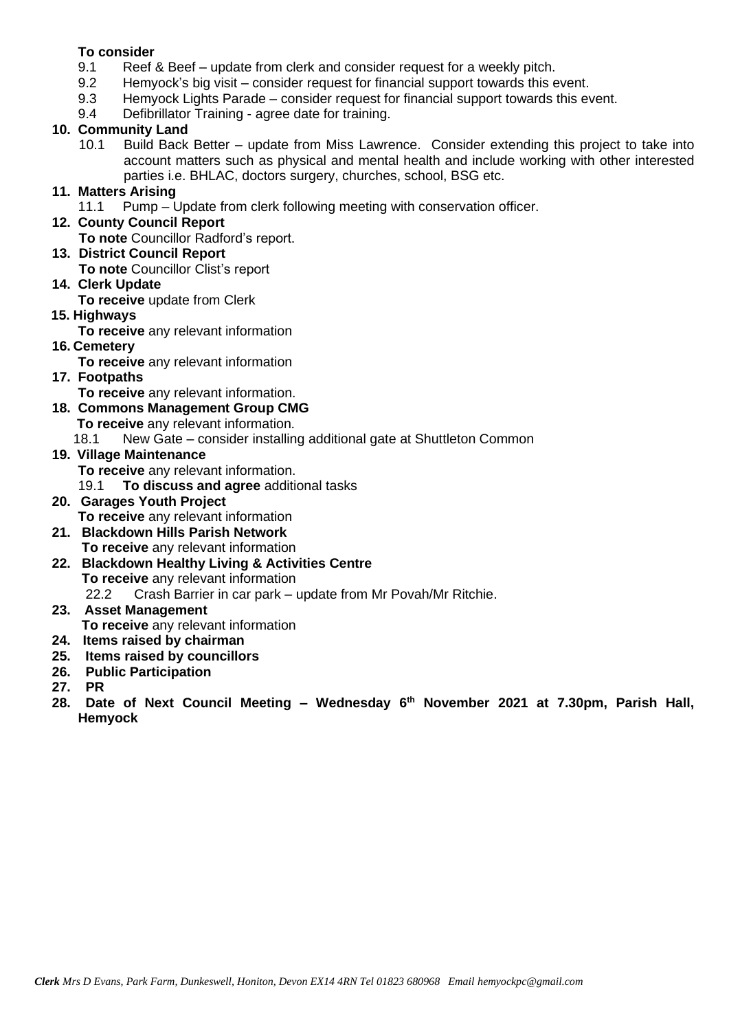### **To consider**

- 9.1 Reef & Beef update from clerk and consider request for a weekly pitch.
- 9.2 Hemyock's big visit consider request for financial support towards this event.
- 9.3 Hemyock Lights Parade consider request for financial support towards this event.
- 9.4 Defibrillator Training agree date for training.

#### **10. Community Land**

10.1 Build Back Better – update from Miss Lawrence. Consider extending this project to take into account matters such as physical and mental health and include working with other interested parties i.e. BHLAC, doctors surgery, churches, school, BSG etc.

### **11. Matters Arising**

- 11.1 Pump Update from clerk following meeting with conservation officer.
- **12. County Council Report To note** Councillor Radford's report.
- **13. District Council Report To note** Councillor Clist's report
- **14. Clerk Update** 
	- **To receive** update from Clerk
- **15. Highways**
	- **To receive** any relevant information
- **16. Cemetery** 
	- **To receive** any relevant information
- **17. Footpaths**
	- **To receive** any relevant information.
- **18. Commons Management Group CMG**
	- **To receive** any relevant information.
		- 18.1 New Gate consider installing additional gate at Shuttleton Common
- **19. Village Maintenance**
	- **To receive** any relevant information.
	- 19.1 **To discuss and agree** additional tasks
- **20. Garages Youth Project To receive** any relevant information
- **21. Blackdown Hills Parish Network To receive** any relevant information
- **22. Blackdown Healthy Living & Activities Centre To receive** any relevant information 22.2 Crash Barrier in car park – update from Mr Povah/Mr Ritchie.
- **23. Asset Management To receive** any relevant information
- **24. Items raised by chairman**
- **25. Items raised by councillors**
- **26. Public Participation**
- **27. PR**
- **28. Date of Next Council Meeting – Wednesday 6 th November 2021 at 7.30pm, Parish Hall, Hemyock**